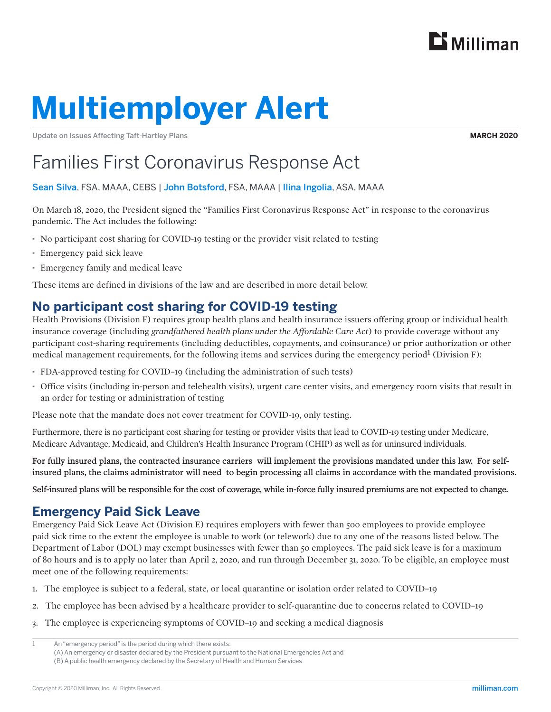

# **Multiemployer Alert**

Update on Issues Affecting Taft-Hartley Plans

**MARCH 2020**

# Families First Coronavirus Response Act

#### Sean Silva, FSA, MAAA, CEBS | John Botsford, FSA, MAAA | Ilina Ingolia, ASA, MAAA

On March 18, 2020, the President signed the "Families First Coronavirus Response Act" in response to the coronavirus pandemic. The Act includes the following:

- · No participant cost sharing for COVID-19 testing or the provider visit related to testing
- · Emergency paid sick leave
- · Emergency family and medical leave

These items are defined in divisions of the law and are described in more detail below.

## **No participant cost sharing for COVID-19 testing**

Health Provisions (Division F) requires group health plans and health insurance issuers offering group or individual health insurance coverage (including *grandfathered health plans under the Affordable Care Act*) to provide coverage without any participant cost-sharing requirements (including deductibles, copayments, and coinsurance) or prior authorization or other medical management requirements, for the following items and services during the emergency period<sup>1</sup> (Division F):

- · FDA-approved testing for COVID–19 (including the administration of such tests)
- · Office visits (including in-person and telehealth visits), urgent care center visits, and emergency room visits that result in an order for testing or administration of testing

Please note that the mandate does not cover treatment for COVID-19, only testing.

Furthermore, there is no participant cost sharing for testing or provider visits that lead to COVID-19 testing under Medicare, Medicare Advantage, Medicaid, and Children's Health Insurance Program (CHIP) as well as for uninsured individuals.

For fully insured plans, the contracted insurance carriers will implement the provisions mandated under this law. For selfinsured plans, the claims administrator will need to begin processing all claims in accordance with the mandated provisions.

Self-insured plans will be responsible for the cost of coverage, while in-force fully insured premiums are not expected to change.

## **Emergency Paid Sick Leave**

Emergency Paid Sick Leave Act (Division E) requires employers with fewer than 500 employees to provide employee paid sick time to the extent the employee is unable to work (or telework) due to any one of the reasons listed below. The Department of Labor (DOL) may exempt businesses with fewer than 50 employees. The paid sick leave is for a maximum of 80 hours and is to apply no later than April 2, 2020, and run through December 31, 2020. To be eligible, an employee must meet one of the following requirements:

- 1. The employee is subject to a federal, state, or local quarantine or isolation order related to COVID–19
- 2. The employee has been advised by a healthcare provider to self-quarantine due to concerns related to COVID–19
- 3. The employee is experiencing symptoms of COVID–19 and seeking a medical diagnosis

<sup>1</sup> An "emergency period" is the period during which there exists: (A) An emergency or disaster declared by the President pursuant to the National Emergencies Act and (B) A public health emergency declared by the Secretary of Health and Human Services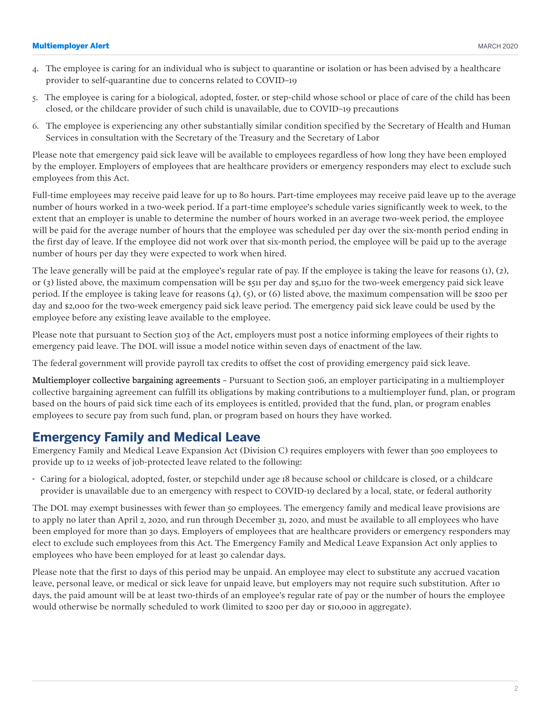#### Multiemployer Alert

- 4. The employee is caring for an individual who is subject to quarantine or isolation or has been advised by a healthcare provider to self-quarantine due to concerns related to COVID–19
- 5. The employee is caring for a biological, adopted, foster, or step-child whose school or place of care of the child has been closed, or the childcare provider of such child is unavailable, due to COVID–19 precautions
- 6. The employee is experiencing any other substantially similar condition specified by the Secretary of Health and Human Services in consultation with the Secretary of the Treasury and the Secretary of Labor

Please note that emergency paid sick leave will be available to employees regardless of how long they have been employed by the employer. Employers of employees that are healthcare providers or emergency responders may elect to exclude such employees from this Act.

Full-time employees may receive paid leave for up to 80 hours. Part-time employees may receive paid leave up to the average number of hours worked in a two-week period. If a part-time employee's schedule varies significantly week to week, to the extent that an employer is unable to determine the number of hours worked in an average two-week period, the employee will be paid for the average number of hours that the employee was scheduled per day over the six-month period ending in the first day of leave. If the employee did not work over that six-month period, the employee will be paid up to the average number of hours per day they were expected to work when hired.

The leave generally will be paid at the employee's regular rate of pay. If the employee is taking the leave for reasons (1), (2), or (3) listed above, the maximum compensation will be \$511 per day and \$5,110 for the two-week emergency paid sick leave period. If the employee is taking leave for reasons  $(4)$ ,  $(5)$ , or  $(6)$  listed above, the maximum compensation will be \$200 per day and \$2,000 for the two-week emergency paid sick leave period. The emergency paid sick leave could be used by the employee before any existing leave available to the employee.

Please note that pursuant to Section 5103 of the Act, employers must post a notice informing employees of their rights to emergency paid leave. The DOL will issue a model notice within seven days of enactment of the law.

The federal government will provide payroll tax credits to offset the cost of providing emergency paid sick leave.

Multiemployer collective bargaining agreements – Pursuant to Section 5106, an employer participating in a multiemployer collective bargaining agreement can fulfill its obligations by making contributions to a multiemployer fund, plan, or program based on the hours of paid sick time each of its employees is entitled, provided that the fund, plan, or program enables employees to secure pay from such fund, plan, or program based on hours they have worked.

### **Emergency Family and Medical Leave**

Emergency Family and Medical Leave Expansion Act (Division C) requires employers with fewer than 500 employees to provide up to 12 weeks of job-protected leave related to the following:

· Caring for a biological, adopted, foster, or stepchild under age 18 because school or childcare is closed, or a childcare provider is unavailable due to an emergency with respect to COVID-19 declared by a local, state, or federal authority

The DOL may exempt businesses with fewer than 50 employees. The emergency family and medical leave provisions are to apply no later than April 2, 2020, and run through December 31, 2020, and must be available to all employees who have been employed for more than 30 days. Employers of employees that are healthcare providers or emergency responders may elect to exclude such employees from this Act. The Emergency Family and Medical Leave Expansion Act only applies to employees who have been employed for at least 30 calendar days.

Please note that the first 10 days of this period may be unpaid. An employee may elect to substitute any accrued vacation leave, personal leave, or medical or sick leave for unpaid leave, but employers may not require such substitution. After 10 days, the paid amount will be at least two-thirds of an employee's regular rate of pay or the number of hours the employee would otherwise be normally scheduled to work (limited to \$200 per day or \$10,000 in aggregate).